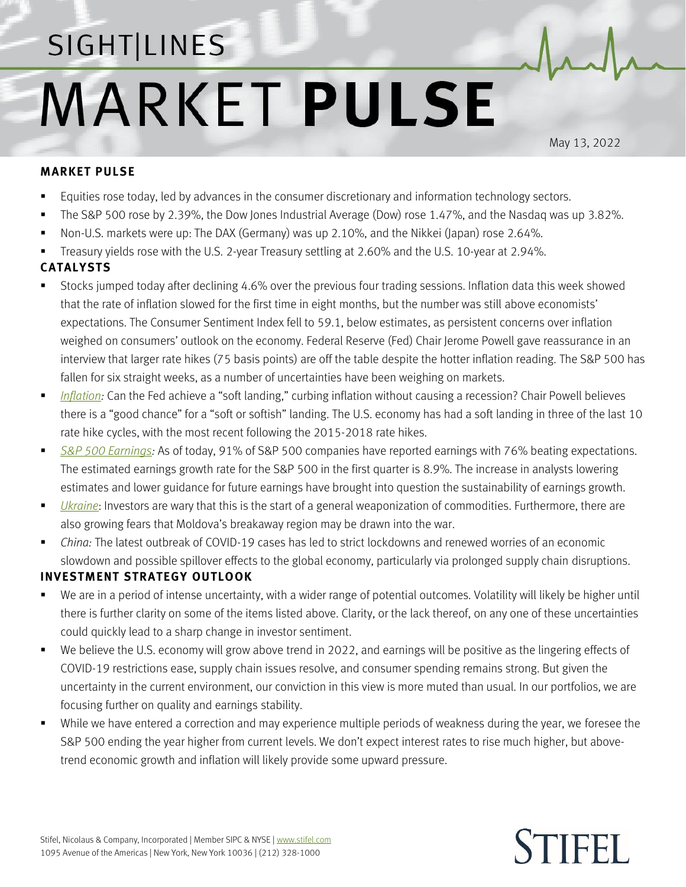## SIGHT LINES **MARKET PULSE**

May 13, 2022

**TIFFI** 

## **MARKET PULSE**

- **Equities rose today, led by advances in the consumer discretionary and information technology sectors.**
- The S&P 500 rose by 2.39%, the Dow Jones Industrial Average (Dow) rose 1.47%, and the Nasdaq was up 3.82%.
- Non-U.S. markets were up: The DAX (Germany) was up 2.10%, and the Nikkei (Japan) rose 2.64%.
- Treasury yields rose with the U.S. 2-year Treasury settling at 2.60% and the U.S. 10-year at 2.94%.

## **CATALYSTS**

- Stocks jumped today after declining 4.6% over the previous four trading sessions. Inflation data this week showed that the rate of inflation slowed for the first time in eight months, but the number was still above economists' expectations. The Consumer Sentiment Index fell to 59.1, below estimates, as persistent concerns over inflation weighed on consumers' outlook on the economy. Federal Reserve (Fed) Chair Jerome Powell gave reassurance in an interview that larger rate hikes (75 basis points) are off the table despite the hotter inflation reading. The S&P 500 has fallen for six straight weeks, as a number of uncertainties have been weighing on markets.
- [Inflation:](https://www.stifel.com/Newsletters/AdGraphics/InSight/Sightlines/2022/SL042222.pdf) Can the Fed achieve a "soft landing," curbing inflation without causing a recession? Chair Powell believes there is a "good chance" for a "soft or softish" landing. The U.S. economy has had a soft landing in three of the last 10 rate hike cycles, with the most recent following the 2015-2018 rate hikes.
- *[S&P 500 Earnings:](https://www.stifel.com/Newsletters/AdGraphics/InSight/Sightlines/2022/SL051322.pdf)* As of today, 91% of S&P 500 companies have reported earnings with 76% beating expectations. The estimated earnings growth rate for the S&P 500 in the first quarter is 8.9%. The increase in analysts lowering estimates and lower guidance for future earnings have brought into question the sustainability of earnings growth.
- *[Ukraine](https://www.stifel.com/newsletters/AdGraphics/InSight/Major-Themes/MT.html)*: Investors are wary that this is the start of a general weaponization of commodities. Furthermore, there are also growing fears that Moldova's breakaway region may be drawn into the war.
- *China:* The latest outbreak of COVID-19 cases has led to strict lockdowns and renewed worries of an economic slowdown and possible spillover effects to the global economy, particularly via prolonged supply chain disruptions.

## **INVESTMENT STRATEGY OUTLOOK**

- We are in a period of intense uncertainty, with a wider range of potential outcomes. Volatility will likely be higher until there is further clarity on some of the items listed above. Clarity, or the lack thereof, on any one of these uncertainties could quickly lead to a sharp change in investor sentiment.
- We believe the U.S. economy will grow above trend in 2022, and earnings will be positive as the lingering effects of COVID-19 restrictions ease, supply chain issues resolve, and consumer spending remains strong. But given the uncertainty in the current environment, our conviction in this view is more muted than usual. In our portfolios, we are focusing further on quality and earnings stability.
- While we have entered a correction and may experience multiple periods of weakness during the year, we foresee the S&P 500 ending the year higher from current levels. We don't expect interest rates to rise much higher, but abovetrend economic growth and inflation will likely provide some upward pressure.